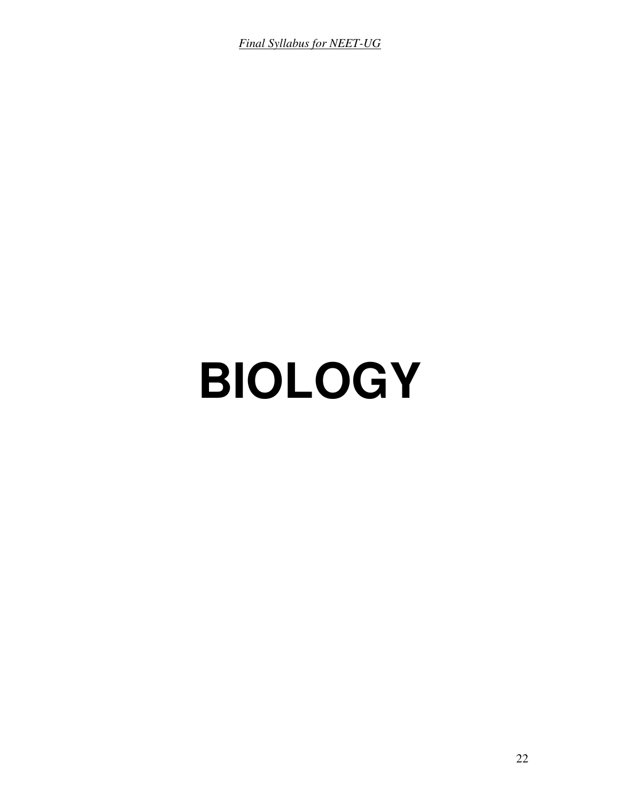*Final Syllabus for NEET-UG*

# **BIOLOGY**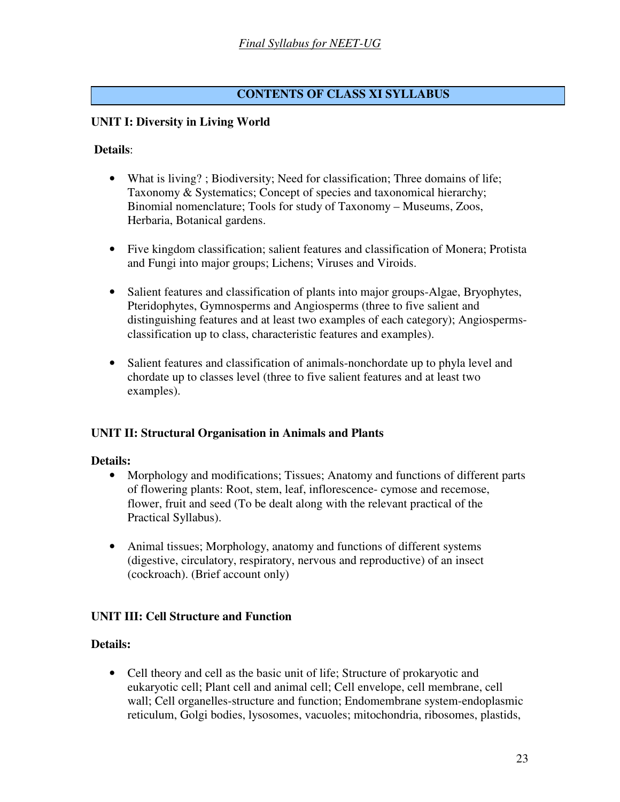# **CONTENTS OF CLASS XI SYLLABUS**

## **UNIT I: Diversity in Living World**

#### **Details**:

- What is living?; Biodiversity; Need for classification; Three domains of life; Taxonomy & Systematics; Concept of species and taxonomical hierarchy; Binomial nomenclature; Tools for study of Taxonomy – Museums, Zoos, Herbaria, Botanical gardens.
- Five kingdom classification; salient features and classification of Monera; Protista and Fungi into major groups; Lichens; Viruses and Viroids.
- Salient features and classification of plants into major groups-Algae, Bryophytes, Pteridophytes, Gymnosperms and Angiosperms (three to five salient and distinguishing features and at least two examples of each category); Angiospermsclassification up to class, characteristic features and examples).
- Salient features and classification of animals-nonchordate up to phyla level and chordate up to classes level (three to five salient features and at least two examples).

#### **UNIT II: Structural Organisation in Animals and Plants**

#### **Details:**

- Morphology and modifications; Tissues; Anatomy and functions of different parts of flowering plants: Root, stem, leaf, inflorescence- cymose and recemose, flower, fruit and seed (To be dealt along with the relevant practical of the Practical Syllabus).
- Animal tissues; Morphology, anatomy and functions of different systems (digestive, circulatory, respiratory, nervous and reproductive) of an insect (cockroach). (Brief account only)

#### **UNIT III: Cell Structure and Function**

#### **Details:**

• Cell theory and cell as the basic unit of life; Structure of prokaryotic and eukaryotic cell; Plant cell and animal cell; Cell envelope, cell membrane, cell wall; Cell organelles-structure and function; Endomembrane system-endoplasmic reticulum, Golgi bodies, lysosomes, vacuoles; mitochondria, ribosomes, plastids,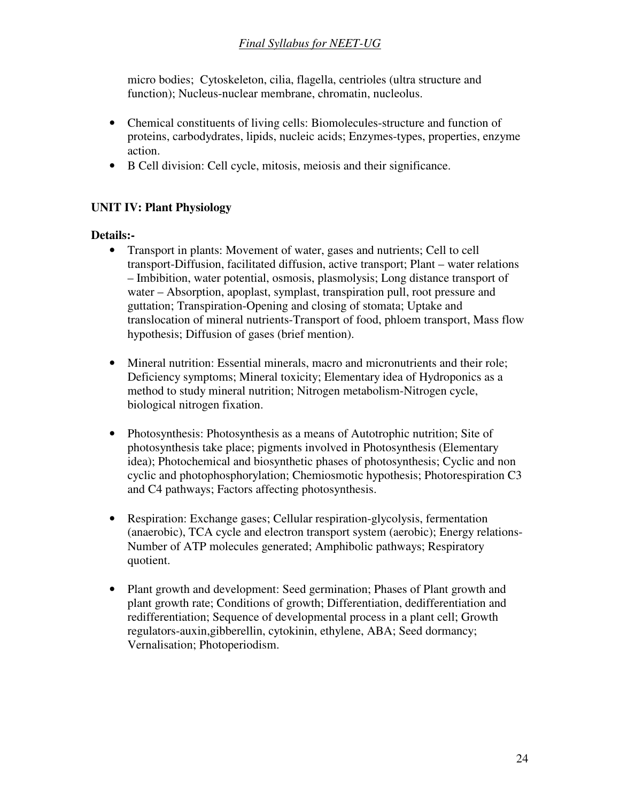# *Final Syllabus for NEET-UG*

micro bodies; Cytoskeleton, cilia, flagella, centrioles (ultra structure and function); Nucleus-nuclear membrane, chromatin, nucleolus.

- Chemical constituents of living cells: Biomolecules-structure and function of proteins, carbodydrates, lipids, nucleic acids; Enzymes-types, properties, enzyme action.
- B Cell division: Cell cycle, mitosis, meiosis and their significance.

## **UNIT IV: Plant Physiology**

### **Details:-**

- Transport in plants: Movement of water, gases and nutrients; Cell to cell transport-Diffusion, facilitated diffusion, active transport; Plant – water relations – Imbibition, water potential, osmosis, plasmolysis; Long distance transport of water – Absorption, apoplast, symplast, transpiration pull, root pressure and guttation; Transpiration-Opening and closing of stomata; Uptake and translocation of mineral nutrients-Transport of food, phloem transport, Mass flow hypothesis; Diffusion of gases (brief mention).
- Mineral nutrition: Essential minerals, macro and micronutrients and their role; Deficiency symptoms; Mineral toxicity; Elementary idea of Hydroponics as a method to study mineral nutrition; Nitrogen metabolism-Nitrogen cycle, biological nitrogen fixation.
- Photosynthesis: Photosynthesis as a means of Autotrophic nutrition; Site of photosynthesis take place; pigments involved in Photosynthesis (Elementary idea); Photochemical and biosynthetic phases of photosynthesis; Cyclic and non cyclic and photophosphorylation; Chemiosmotic hypothesis; Photorespiration C3 and C4 pathways; Factors affecting photosynthesis.
- Respiration: Exchange gases; Cellular respiration-glycolysis, fermentation (anaerobic), TCA cycle and electron transport system (aerobic); Energy relations-Number of ATP molecules generated; Amphibolic pathways; Respiratory quotient.
- Plant growth and development: Seed germination; Phases of Plant growth and plant growth rate; Conditions of growth; Differentiation, dedifferentiation and redifferentiation; Sequence of developmental process in a plant cell; Growth regulators-auxin,gibberellin, cytokinin, ethylene, ABA; Seed dormancy; Vernalisation; Photoperiodism.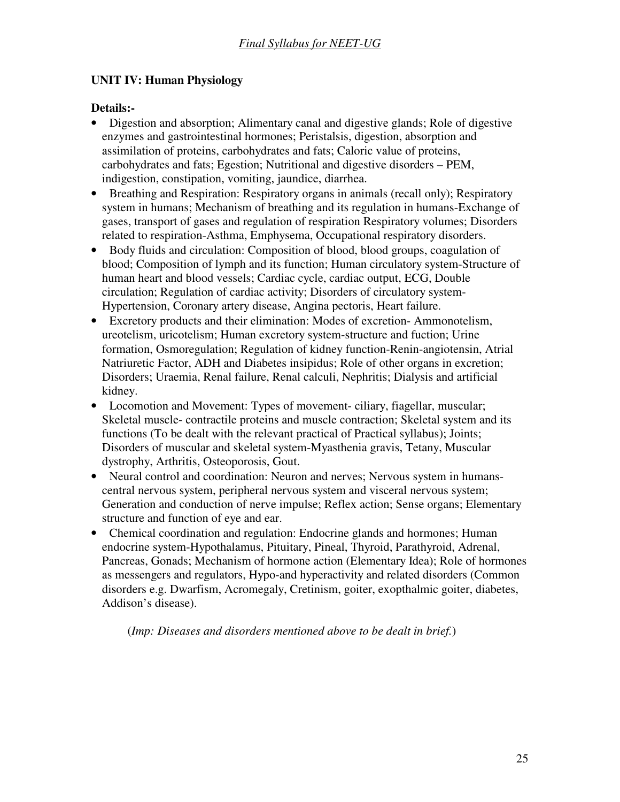# **UNIT IV: Human Physiology**

# **Details:-**

- Digestion and absorption; Alimentary canal and digestive glands; Role of digestive enzymes and gastrointestinal hormones; Peristalsis, digestion, absorption and assimilation of proteins, carbohydrates and fats; Caloric value of proteins, carbohydrates and fats; Egestion; Nutritional and digestive disorders – PEM, indigestion, constipation, vomiting, jaundice, diarrhea.
- Breathing and Respiration: Respiratory organs in animals (recall only); Respiratory system in humans; Mechanism of breathing and its regulation in humans-Exchange of gases, transport of gases and regulation of respiration Respiratory volumes; Disorders related to respiration-Asthma, Emphysema, Occupational respiratory disorders.
- Body fluids and circulation: Composition of blood, blood groups, coagulation of blood; Composition of lymph and its function; Human circulatory system-Structure of human heart and blood vessels; Cardiac cycle, cardiac output, ECG, Double circulation; Regulation of cardiac activity; Disorders of circulatory system-Hypertension, Coronary artery disease, Angina pectoris, Heart failure.
- Excretory products and their elimination: Modes of excretion- Ammonotelism, ureotelism, uricotelism; Human excretory system-structure and fuction; Urine formation, Osmoregulation; Regulation of kidney function-Renin-angiotensin, Atrial Natriuretic Factor, ADH and Diabetes insipidus; Role of other organs in excretion; Disorders; Uraemia, Renal failure, Renal calculi, Nephritis; Dialysis and artificial kidney.
- Locomotion and Movement: Types of movement- ciliary, fiagellar, muscular; Skeletal muscle- contractile proteins and muscle contraction; Skeletal system and its functions (To be dealt with the relevant practical of Practical syllabus); Joints; Disorders of muscular and skeletal system-Myasthenia gravis, Tetany, Muscular dystrophy, Arthritis, Osteoporosis, Gout.
- Neural control and coordination: Neuron and nerves; Nervous system in humanscentral nervous system, peripheral nervous system and visceral nervous system; Generation and conduction of nerve impulse; Reflex action; Sense organs; Elementary structure and function of eye and ear.
- Chemical coordination and regulation: Endocrine glands and hormones; Human endocrine system-Hypothalamus, Pituitary, Pineal, Thyroid, Parathyroid, Adrenal, Pancreas, Gonads; Mechanism of hormone action (Elementary Idea); Role of hormones as messengers and regulators, Hypo-and hyperactivity and related disorders (Common disorders e.g. Dwarfism, Acromegaly, Cretinism, goiter, exopthalmic goiter, diabetes, Addison's disease).

(*Imp: Diseases and disorders mentioned above to be dealt in brief.*)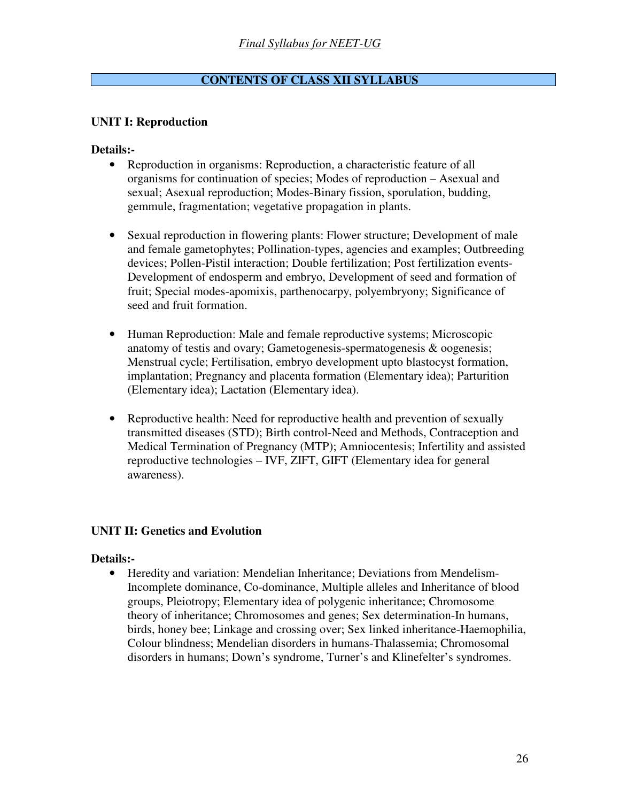# **CONTENTS OF CLASS XII SYLLABUS**

## **UNIT I: Reproduction**

### **Details:-**

- Reproduction in organisms: Reproduction, a characteristic feature of all organisms for continuation of species; Modes of reproduction – Asexual and sexual; Asexual reproduction; Modes-Binary fission, sporulation, budding, gemmule, fragmentation; vegetative propagation in plants.
- Sexual reproduction in flowering plants: Flower structure; Development of male and female gametophytes; Pollination-types, agencies and examples; Outbreeding devices; Pollen-Pistil interaction; Double fertilization; Post fertilization events-Development of endosperm and embryo, Development of seed and formation of fruit; Special modes-apomixis, parthenocarpy, polyembryony; Significance of seed and fruit formation.
- Human Reproduction: Male and female reproductive systems; Microscopic anatomy of testis and ovary; Gametogenesis-spermatogenesis & oogenesis; Menstrual cycle; Fertilisation, embryo development upto blastocyst formation, implantation; Pregnancy and placenta formation (Elementary idea); Parturition (Elementary idea); Lactation (Elementary idea).
- Reproductive health: Need for reproductive health and prevention of sexually transmitted diseases (STD); Birth control-Need and Methods, Contraception and Medical Termination of Pregnancy (MTP); Amniocentesis; Infertility and assisted reproductive technologies – IVF, ZIFT, GIFT (Elementary idea for general awareness).

## **UNIT II: Genetics and Evolution**

#### **Details:-**

• Heredity and variation: Mendelian Inheritance; Deviations from Mendelism-Incomplete dominance, Co-dominance, Multiple alleles and Inheritance of blood groups, Pleiotropy; Elementary idea of polygenic inheritance; Chromosome theory of inheritance; Chromosomes and genes; Sex determination-In humans, birds, honey bee; Linkage and crossing over; Sex linked inheritance-Haemophilia, Colour blindness; Mendelian disorders in humans-Thalassemia; Chromosomal disorders in humans; Down's syndrome, Turner's and Klinefelter's syndromes.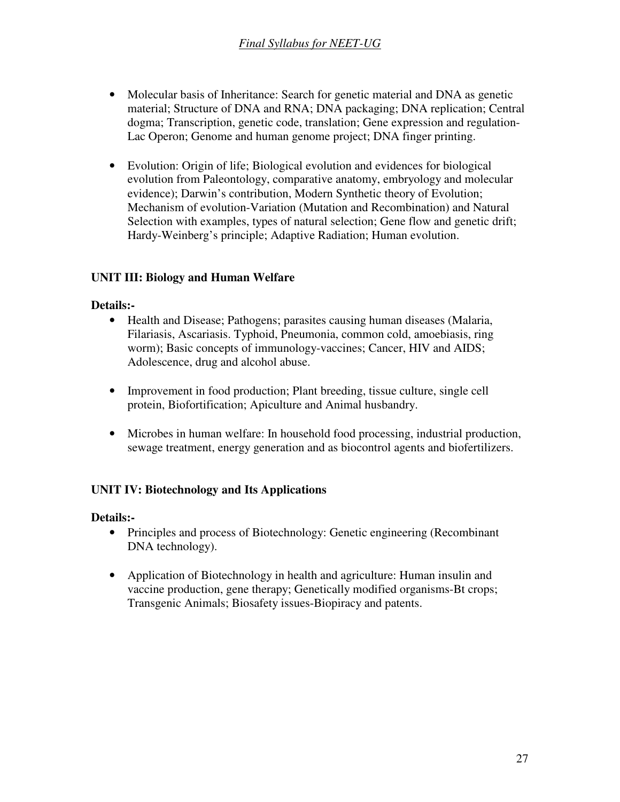- Molecular basis of Inheritance: Search for genetic material and DNA as genetic material; Structure of DNA and RNA; DNA packaging; DNA replication; Central dogma; Transcription, genetic code, translation; Gene expression and regulation-Lac Operon; Genome and human genome project; DNA finger printing.
- Evolution: Origin of life; Biological evolution and evidences for biological evolution from Paleontology, comparative anatomy, embryology and molecular evidence); Darwin's contribution, Modern Synthetic theory of Evolution; Mechanism of evolution-Variation (Mutation and Recombination) and Natural Selection with examples, types of natural selection; Gene flow and genetic drift; Hardy-Weinberg's principle; Adaptive Radiation; Human evolution.

# **UNIT III: Biology and Human Welfare**

### **Details:-**

- Health and Disease; Pathogens; parasites causing human diseases (Malaria, Filariasis, Ascariasis. Typhoid, Pneumonia, common cold, amoebiasis, ring worm); Basic concepts of immunology-vaccines; Cancer, HIV and AIDS; Adolescence, drug and alcohol abuse.
- Improvement in food production; Plant breeding, tissue culture, single cell protein, Biofortification; Apiculture and Animal husbandry.
- Microbes in human welfare: In household food processing, industrial production, sewage treatment, energy generation and as biocontrol agents and biofertilizers.

## **UNIT IV: Biotechnology and Its Applications**

## **Details:-**

- Principles and process of Biotechnology: Genetic engineering (Recombinant DNA technology).
- Application of Biotechnology in health and agriculture: Human insulin and vaccine production, gene therapy; Genetically modified organisms-Bt crops; Transgenic Animals; Biosafety issues-Biopiracy and patents.